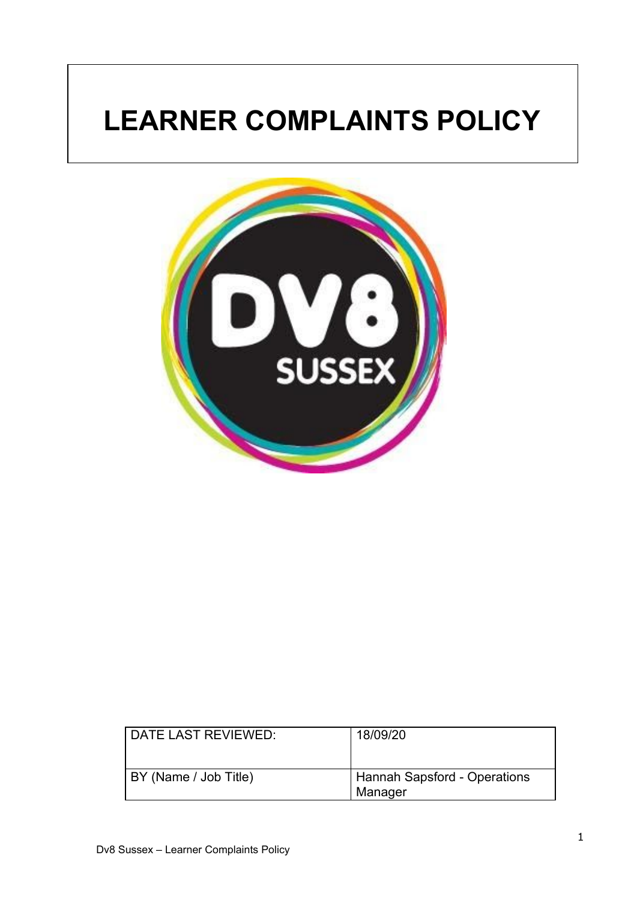# **LEARNER COMPLAINTS POLICY**



| DATE LAST REVIEWED:   | 18/09/20                                |
|-----------------------|-----------------------------------------|
| BY (Name / Job Title) | Hannah Sapsford - Operations<br>Manager |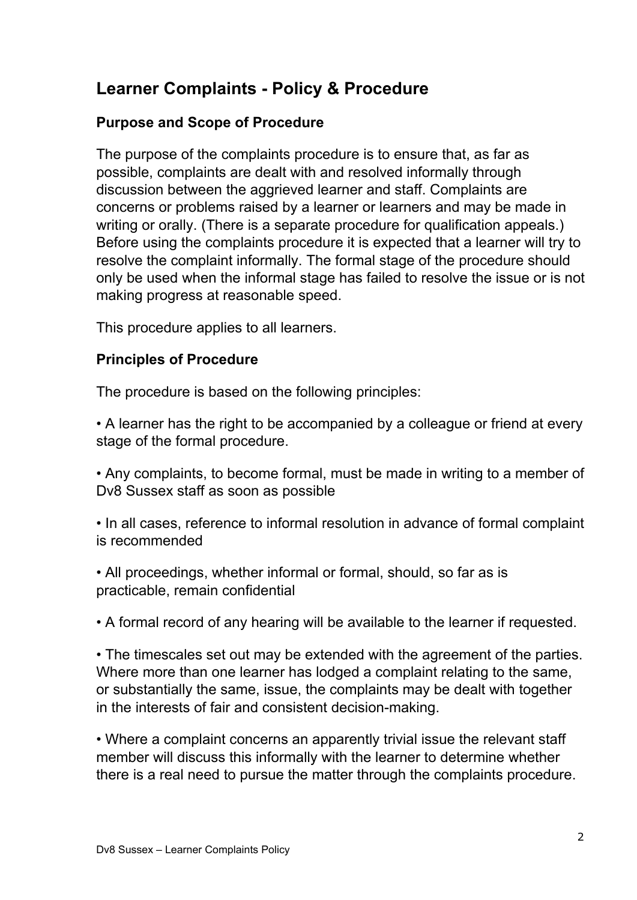# **Learner Complaints - Policy & Procedure**

#### **Purpose and Scope of Procedure**

The purpose of the complaints procedure is to ensure that, as far as possible, complaints are dealt with and resolved informally through discussion between the aggrieved learner and staff. Complaints are concerns or problems raised by a learner or learners and may be made in writing or orally. (There is a separate procedure for qualification appeals.) Before using the complaints procedure it is expected that a learner will try to resolve the complaint informally. The formal stage of the procedure should only be used when the informal stage has failed to resolve the issue or is not making progress at reasonable speed.

This procedure applies to all learners.

#### **Principles of Procedure**

The procedure is based on the following principles:

• A learner has the right to be accompanied by a colleague or friend at every stage of the formal procedure.

• Any complaints, to become formal, must be made in writing to a member of Dv8 Sussex staff as soon as possible

• In all cases, reference to informal resolution in advance of formal complaint is recommended

• All proceedings, whether informal or formal, should, so far as is practicable, remain confidential

• A formal record of any hearing will be available to the learner if requested.

• The timescales set out may be extended with the agreement of the parties. Where more than one learner has lodged a complaint relating to the same, or substantially the same, issue, the complaints may be dealt with together in the interests of fair and consistent decision-making.

• Where a complaint concerns an apparently trivial issue the relevant staff member will discuss this informally with the learner to determine whether there is a real need to pursue the matter through the complaints procedure.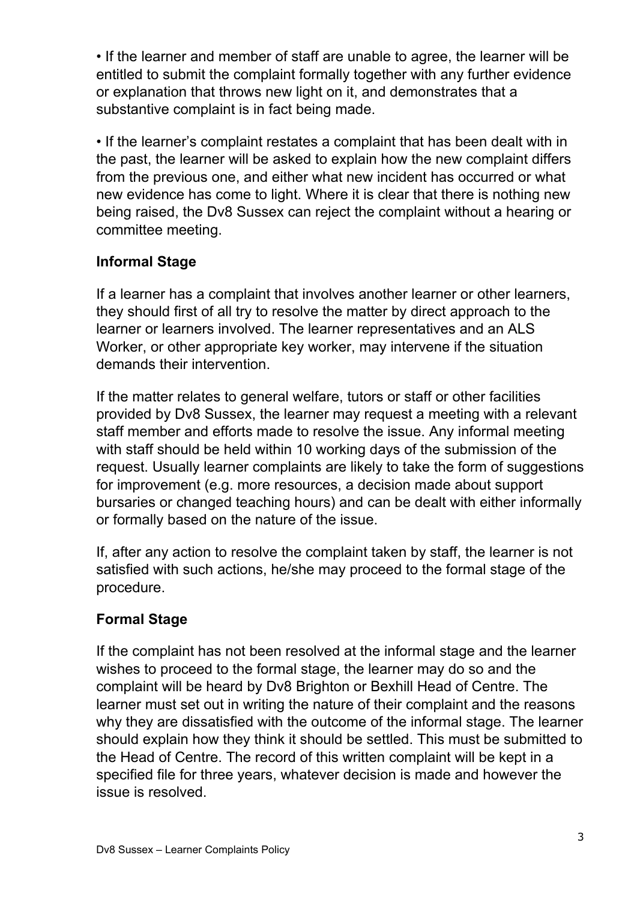• If the learner and member of staff are unable to agree, the learner will be entitled to submit the complaint formally together with any further evidence or explanation that throws new light on it, and demonstrates that a substantive complaint is in fact being made.

• If the learner's complaint restates a complaint that has been dealt with in the past, the learner will be asked to explain how the new complaint differs from the previous one, and either what new incident has occurred or what new evidence has come to light. Where it is clear that there is nothing new being raised, the Dv8 Sussex can reject the complaint without a hearing or committee meeting.

### **Informal Stage**

If a learner has a complaint that involves another learner or other learners, they should first of all try to resolve the matter by direct approach to the learner or learners involved. The learner representatives and an ALS Worker, or other appropriate key worker, may intervene if the situation demands their intervention.

If the matter relates to general welfare, tutors or staff or other facilities provided by Dv8 Sussex, the learner may request a meeting with a relevant staff member and efforts made to resolve the issue. Any informal meeting with staff should be held within 10 working days of the submission of the request. Usually learner complaints are likely to take the form of suggestions for improvement (e.g. more resources, a decision made about support bursaries or changed teaching hours) and can be dealt with either informally or formally based on the nature of the issue.

If, after any action to resolve the complaint taken by staff, the learner is not satisfied with such actions, he/she may proceed to the formal stage of the procedure.

## **Formal Stage**

If the complaint has not been resolved at the informal stage and the learner wishes to proceed to the formal stage, the learner may do so and the complaint will be heard by Dv8 Brighton or Bexhill Head of Centre. The learner must set out in writing the nature of their complaint and the reasons why they are dissatisfied with the outcome of the informal stage. The learner should explain how they think it should be settled. This must be submitted to the Head of Centre. The record of this written complaint will be kept in a specified file for three years, whatever decision is made and however the issue is resolved.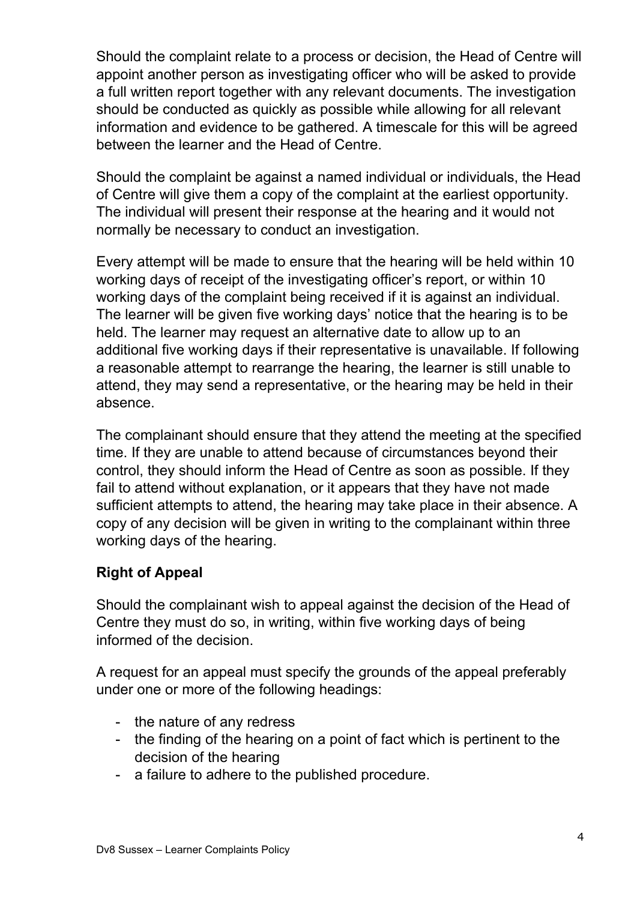Should the complaint relate to a process or decision, the Head of Centre will appoint another person as investigating officer who will be asked to provide a full written report together with any relevant documents. The investigation should be conducted as quickly as possible while allowing for all relevant information and evidence to be gathered. A timescale for this will be agreed between the learner and the Head of Centre.

Should the complaint be against a named individual or individuals, the Head of Centre will give them a copy of the complaint at the earliest opportunity. The individual will present their response at the hearing and it would not normally be necessary to conduct an investigation.

Every attempt will be made to ensure that the hearing will be held within 10 working days of receipt of the investigating officer's report, or within 10 working days of the complaint being received if it is against an individual. The learner will be given five working days' notice that the hearing is to be held. The learner may request an alternative date to allow up to an additional five working days if their representative is unavailable. If following a reasonable attempt to rearrange the hearing, the learner is still unable to attend, they may send a representative, or the hearing may be held in their absence.

The complainant should ensure that they attend the meeting at the specified time. If they are unable to attend because of circumstances beyond their control, they should inform the Head of Centre as soon as possible. If they fail to attend without explanation, or it appears that they have not made sufficient attempts to attend, the hearing may take place in their absence. A copy of any decision will be given in writing to the complainant within three working days of the hearing.

#### **Right of Appeal**

Should the complainant wish to appeal against the decision of the Head of Centre they must do so, in writing, within five working days of being informed of the decision.

A request for an appeal must specify the grounds of the appeal preferably under one or more of the following headings:

- the nature of any redress
- the finding of the hearing on a point of fact which is pertinent to the decision of the hearing
- a failure to adhere to the published procedure.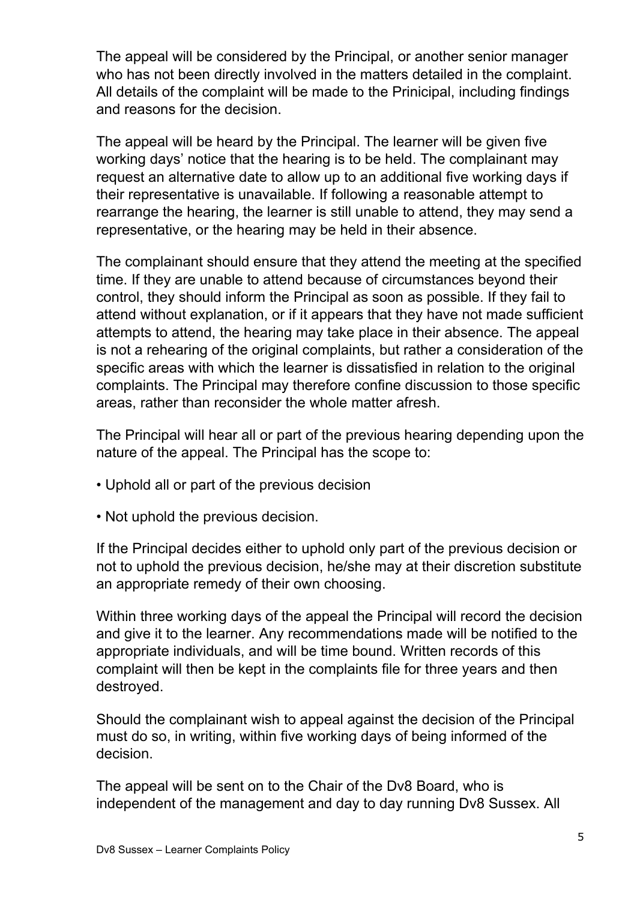The appeal will be considered by the Principal, or another senior manager who has not been directly involved in the matters detailed in the complaint. All details of the complaint will be made to the Prinicipal, including findings and reasons for the decision.

The appeal will be heard by the Principal. The learner will be given five working days' notice that the hearing is to be held. The complainant may request an alternative date to allow up to an additional five working days if their representative is unavailable. If following a reasonable attempt to rearrange the hearing, the learner is still unable to attend, they may send a representative, or the hearing may be held in their absence.

The complainant should ensure that they attend the meeting at the specified time. If they are unable to attend because of circumstances beyond their control, they should inform the Principal as soon as possible. If they fail to attend without explanation, or if it appears that they have not made sufficient attempts to attend, the hearing may take place in their absence. The appeal is not a rehearing of the original complaints, but rather a consideration of the specific areas with which the learner is dissatisfied in relation to the original complaints. The Principal may therefore confine discussion to those specific areas, rather than reconsider the whole matter afresh.

The Principal will hear all or part of the previous hearing depending upon the nature of the appeal. The Principal has the scope to:

- Uphold all or part of the previous decision
- Not uphold the previous decision.

If the Principal decides either to uphold only part of the previous decision or not to uphold the previous decision, he/she may at their discretion substitute an appropriate remedy of their own choosing.

Within three working days of the appeal the Principal will record the decision and give it to the learner. Any recommendations made will be notified to the appropriate individuals, and will be time bound. Written records of this complaint will then be kept in the complaints file for three years and then destroyed.

Should the complainant wish to appeal against the decision of the Principal must do so, in writing, within five working days of being informed of the decision.

The appeal will be sent on to the Chair of the Dv8 Board, who is independent of the management and day to day running Dv8 Sussex. All